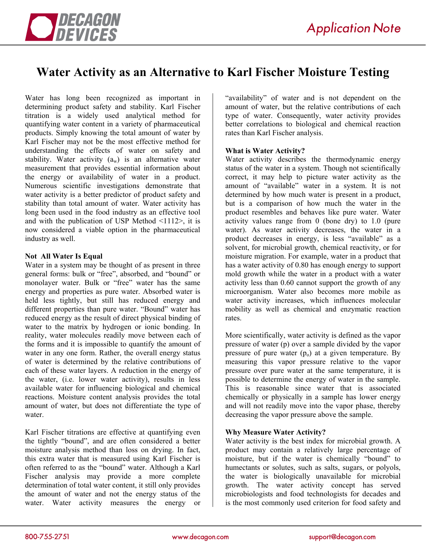

# **Water Activity as an Alternative to Karl Fischer Moisture Testing**

Water has long been recognized as important in determining product safety and stability. Karl Fischer titration is a widely used analytical method for quantifying water content in a variety of pharmaceutical products. Simply knowing the total amount of water by Karl Fischer may not be the most effective method for understanding the effects of water on safety and stability. Water activity  $(a_w)$  is an alternative water measurement that provides essential information about the energy or availability of water in a product. Numerous scientific investigations demonstrate that water activity is a better predictor of product safety and stability than total amount of water. Water activity has long been used in the food industry as an effective tool and with the publication of USP Method <1112>, it is now considered a viable option in the pharmaceutical industry as well.

#### **Not All Water Is Equal**

Water in a system may be thought of as present in three general forms: bulk or "free", absorbed, and "bound" or monolayer water. Bulk or "free" water has the same energy and properties as pure water. Absorbed water is held less tightly, but still has reduced energy and different properties than pure water. "Bound" water has reduced energy as the result of direct physical binding of water to the matrix by hydrogen or ionic bonding. In reality, water molecules readily move between each of the forms and it is impossible to quantify the amount of water in any one form. Rather, the overall energy status of water is determined by the relative contributions of each of these water layers. A reduction in the energy of the water, (i.e. lower water activity), results in less available water for influencing biological and chemical reactions. Moisture content analysis provides the total amount of water, but does not differentiate the type of water.

Karl Fischer titrations are effective at quantifying even the tightly "bound", and are often considered a better moisture analysis method than loss on drying. In fact, this extra water that is measured using Karl Fischer is often referred to as the "bound" water. Although a Karl Fischer analysis may provide a more complete determination of total water content, it still only provides the amount of water and not the energy status of the water. Water activity measures the energy or

"availability" of water and is not dependent on the amount of water, but the relative contributions of each type of water. Consequently, water activity provides better correlations to biological and chemical reaction rates than Karl Fischer analysis.

#### **What is Water Activity?**

Water activity describes the thermodynamic energy status of the water in a system. Though not scientifically correct, it may help to picture water activity as the amount of "available" water in a system. It is not determined by how much water is present in a product, but is a comparison of how much the water in the product resembles and behaves like pure water. Water activity values range from 0 (bone dry) to 1.0 (pure water). As water activity decreases, the water in a product decreases in energy, is less "available" as a solvent, for microbial growth, chemical reactivity, or for moisture migration. For example, water in a product that has a water activity of 0.80 has enough energy to support mold growth while the water in a product with a water activity less than 0.60 cannot support the growth of any microorganism. Water also becomes more mobile as water activity increases, which influences molecular mobility as well as chemical and enzymatic reaction rates.

More scientifically, water activity is defined as the vapor pressure of water (p) over a sample divided by the vapor pressure of pure water  $(p_0)$  at a given temperature. By measuring this vapor pressure relative to the vapor pressure over pure water at the same temperature, it is possible to determine the energy of water in the sample. This is reasonable since water that is associated chemically or physically in a sample has lower energy and will not readily move into the vapor phase, thereby decreasing the vapor pressure above the sample.

## **Why Measure Water Activity?**

Water activity is the best index for microbial growth. A product may contain a relatively large percentage of moisture, but if the water is chemically "bound" to humectants or solutes, such as salts, sugars, or polyols, the water is biologically unavailable for microbial growth. The water activity concept has served microbiologists and food technologists for decades and is the most commonly used criterion for food safety and